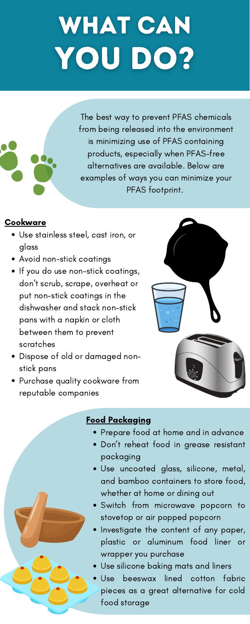- Use stainless steel, cast iron, or glass
- Avoid non-stick coatings
- If you do use non-stick coatings, don 't scrub, scrape, overheat or put non-stick coatings in the dishwasher and stack non-stick pans with a napkin or cloth between them to prevent scratches
- Dispose of old or damaged nonstick pans



Purchase quality cookware from reputable companies



- Prepare food at home and in advance
- Don 't reheat food in grease resistant packaging
- Use uncoated glass, silicone, metal, and bamboo containers to store food, whether at home or dining out
- Switch from microwave popcorn to stovetop or air popped popcorn
- Investigate the content of any paper, plastic or aluminum food liner or wrapper you purchase
- Use silicone baking mats and liners
- Use beeswax lined cotton fabric pieces as a great alternative for cold food storage

### Food Packaging

## WHAT CAN YOU DO?



The best way to prevent PFAS chemicals from being released into the environment is minimizing use of PFAS containing products, especially when PFAS-free alternatives are available. Below are examples of ways you can minimize your PFAS footprint.

### **Cookware**